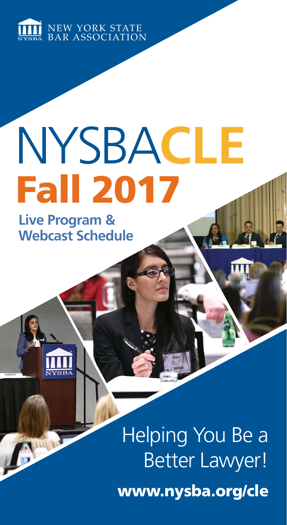

# Fall 2017 NYSBA**CLE**

**Live Program & Webcast Schedule**

A

# www.nysba.org/cle Helping You Be a Better Lawyer!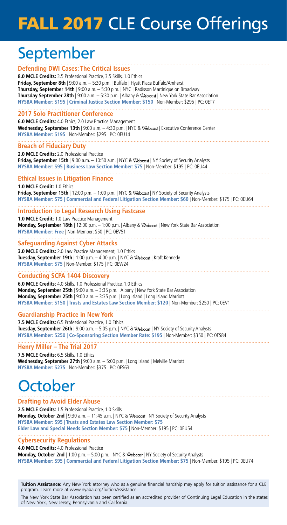# FALL 2017 CLE Course Offerings

## September

#### **Defending DWI Cases: The Critical Issues**

**8.0 MCLE Credits:** 3.5 Professional Practice, 3.5 Skills, 1.0 Ethics **Friday, September 8th** | 9:00 a.m. – 5:30 p.m. | Buffalo | Hyatt Place Buffalo/Amherst **Thursday, September 14th** | 9:00 a.m. – 5:30 p.m. | NYC | Radisson Martinique on Broadway Thursday September 28th | 9:00 a.m. - 5:30 p.m. | Albany &  $\Re$ bcast | New York State Bar Association **NYSBA Member: \$195 | Criminal Justice Section Member: \$150** | Non-Member: \$295 | PC: 0ET7

#### **2017 Solo Practitioner Conference**

**6.0 MCLE Credits:** 4.0 Ethics, 2.0 Law Practice Management **Wednesday, September 13th** | 9:00 a.m. – 4:30 p.m. | NYC & | Executive Conference Center **NYSBA Member: \$195** | Non-Member: \$295 | PC: 0EU14

#### **Breach of Fiduciary Duty**

**2.0 MCLE Credits:** 2.0 Professional Practice **Friday, September 15th** | 9:00 a.m. - 10:50 a.m. | NYC & \&bcast | NY Society of Security Analysts **NYSBA Member: \$95 | Business Law Section Member: \$75** | Non-Member: \$195 | PC: 0EU44

#### **Ethical Issues in Litigation Finance**

**1.0 MCLE Credit:** 1.0 Ethics Friday, September 15th | 12:00 p.m. - 1:00 p.m. | NYC & @bcast | NY Society of Security Analysts **NYSBA Member: \$75 | Commercial and Federal Litigation Section Member: \$60** | Non-Member: \$175 | PC: 0EU64

#### **Introduction to Legal Research Using Fastcase**

**1.0 MCLE Credit:** 1.0 Law Practice Management **Monday, September 18th** | 12:00 p.m. – 1:00 p.m. | Albany & | New York State Bar Association **NYSBA Member: Free** | Non-Member: \$50 | PC: 0EV51

#### **Safeguarding Against Cyber Attacks**

**3.0 MCLE Credits:** 2.0 Law Practice Management, 1.0 Ethics Tuesday, September 19th | 1:00 p.m. - 4:00 p.m. | NYC & Webcast | Kraft Kennedy **NYSBA Member: \$75** | Non-Member: \$175 | PC: 0EW24

#### **Conducting SCPA 1404 Discovery**

**6.0 MCLE Credits:** 4.0 Skills, 1.0 Professional Practice, 1.0 Ethics **Monday, September 25th** | 9:00 a.m. – 3:35 p.m. | Albany | New York State Bar Association **Monday, September 25th** | 9:00 a.m. – 3:35 p.m. | Long Island | Long Island Marriott **NYSBA Member: \$150 | Trusts and Estates Law Section Member: \$120** | Non-Member: \$250 | PC: 0EV1

#### **Guardianship Practice in New York**

**7.5 MCLE Credits:** 6.5 Professional Practice, 1.0 Ethics Tuesday, September 26th | 9:00 a.m. - 5:05 p.m. | NYC & \ Obcast | NY Society of Security Analysts **NYSBA Member: \$250 | Co-Sponsoring Section Member Rate: \$195** | Non-Member: \$350 | PC: 0ES84

#### **Henry Miller – The Trial 2017**

**7.5 MCLE Credits:** 6.5 Skills, 1.0 Ethics **Wednesday, September 27th** | 9:00 a.m. – 5:00 p.m. | Long Island | Melville Marriott **NYSBA Member: \$275** | Non-Member: \$375 | PC: 0ES63

## **October**

#### **Drafting to Avoid Elder Abuse**

**2.5 MCLE Credits:** 1.5 Professional Practice, 1.0 Skills **Monday, October 2nd** | 9:30 a.m. - 11:45 a.m. | NYC & \Rebcast | NY Society of Security Analysts **NYSBA Member: \$95 | Trusts and Estates Law Section Member: \$75 Elder Law and Special Needs Section Member: \$75** | Non-Member: \$195 | PC: 0EU54

#### **Cybersecurity Regulations**

**4.0 MCLE Credits:** 4.0 Professional Practice **Monday, October 2nd** | 1:00 p.m. - 5:00 p.m. | NYC & \ \ \ \ be beast | NY Society of Security Analysts **NYSBA Member: \$95 | Commercial and Federal Litigation Section Member: \$75** | Non-Member: \$195 | PC: 0EU74

**Tuition Assistance:** Any New York attorney who as a genuine financial hardship may apply for tuition assistance for a CLE program. Learn more at www.nyaba.org/TuitionAssistance.

The New York State Bar Association has been certified as an accredited provider of Continuing Legal Education in the states of New York, New Jersey, Pennsylvania and California.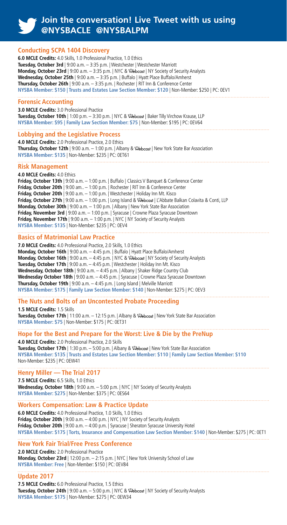#### **Join the conversation! Live Tweet with us using @NYSBACLE @NYSBALPM**

#### **Conducting SCPA 1404 Discovery**

**6.0 MCLE Credits:** 4.0 Skills, 1.0 Professional Practice, 1.0 Ethics **Tuesday, October 3rd** | 9:00 a.m. – 3:35 p.m. | Westchester | Westchester Marriott **Monday, October 23rd** | 9:00 a.m. – 3:35 p.m. | NYC &  $\Re$ bcast | NY Society of Security Analysts **Wednesday, October 25th** | 9:00 a.m. – 3:35 p.m. | Buffalo | Hyatt Place Buffalo/Amherst **Thursday, October 26th** | 9:00 a.m. – 3:35 p.m. | Rochester | RIT Inn & Conference Center **NYSBA Member: \$150 | Trusts and Estates Law Section Member: \$120** | Non-Member: \$250 | PC: 0EV1

#### **Forensic Accounting**

**3.0 MCLE Credits:** 3.0 Professional Practice Tuesday, October 10th | 1:00 p.m. - 3:30 p.m. | NYC & \ Rebcast | Baker Tilly Virchow Krause. LLP **NYSBA Member: \$95 | Family Law Section Member: \$75** | Non-Member: \$195 | PC: 0EV64

#### **Lobbying and the Legislative Process**

**4.0 MCLE Credits:** 2.0 Professional Practice, 2.0 Ethics Thursday, October 12th | 9:00 a.m. - 1:00 p.m. | Albany & Webcast | New York State Bar Association **NYSBA Member: \$135** | Non-Member: \$235 | PC: 0ET61

#### **Risk Management**

**4.0 MCLE Credits:** 4.0 Ethics **Friday, October 13th** | 9:00 a.m. – 1:00 p.m. | Buffalo | Classics V Banquet & Conference Center **Friday, October 20th** | 9:00 am.. – 1:00 p.m. | Rochester | RIT Inn & Conference Center **Friday, October 20th** | 9:00 a.m. – 1:00 p.m. | Westchester | Holiday Inn Mt. Kisco Friday, October 27th | 9:00 a.m. - 1:00 p.m. | Long Island & @bcast | L'Abbate Balkan Colavita & Conti, LLP **Monday, October 30th** | 9:00 a.m. – 1:00 p.m. | Albany | New York State Bar Association **Friday, November 3rd** | 9:00 a.m. – 1:00 p.m. | Syracuse | Crowne Plaza Syracuse Downtown **Friday, November 17th** | 9:00 a.m. – 1:00 p.m. | NYC | NY Society of Security Analysts **NYSBA Member: \$135** | Non-Member: \$235 | PC: 0EV4

#### **Basics of Matrimonial Law Practice**

**7.0 MCLE Credits:** 4.0 Professional Practice, 2.0 Skills, 1.0 Ethics **Monday, October 16th** | 9:00 a.m. – 4:45 p.m. | Buffalo | Hyatt Place Buffalo/Amherst **Monday, October 16th** | 9:00 a.m. - 4:45 p.m. | NYC & \& bcast | NY Society of Security Analysts **Tuesday, October 17th** | 9:00 a.m. – 4:45 p.m. | Westchester | Holiday Inn Mt. Kisco **Wednesday, October 18th** | 9:00 a.m. – 4:45 p.m. | Albany | Shaker Ridge Country Club **Wednesday October 18th** | 9:00 a.m. – 4:45 p.m. | Syracuse | Crowne Plaza Syracuse Downtown **Thursday, October 19th** | 9:00 a.m. – 4:45 p.m. | Long Island | Melville Marriott **NYSBA Member: \$175 | Family Law Section Member: \$140** | Non-Member: \$275 | PC: 0EV3

#### **The Nuts and Bolts of an Uncontested Probate Proceeding**

**1.5 MCLE Credits:** 1.5 Skills Tuesday, October 17th | 11:00 a.m. - 12:15 p.m. | Albany & **@bcast | New York State Bar Association NYSBA Member: \$75** | Non-Member: \$175 | PC: 0ET31

#### **Hope for the Best and Prepare for the Worst: Live & Die by the PreNup**

**4.0 MCLE Credits:** 2.0 Professional Practice, 2.0 Skills **Tuesday, October 17th** | 1:30 p.m. - 5:00 p.m. | Albany & \ibebcast | New York State Bar Association **NYSBA Member: \$135 | Trusts and Estates Law Section Member: \$110 | Family Law Section Member: \$110** Non-Member: \$235 | PC: 0EW41

#### **Henry Miller — The Trial 2017**

**7.5 MCLE Credits:** 6.5 Skills, 1.0 Ethics **Wednesday, October 18th** | 9:00 a.m. – 5:00 p.m. | NYC | NY Society of Security Analysts **NYSBA Member: \$275** | Non-Member: \$375 | PC: 0ES64

#### **Workers Compensation: Law & Practice Update**

**6.0 MCLE Credits:** 4.0 Professional Practice, 1.0 Skills, 1.0 Ethics **Friday, October 20th** | 9:00 a.m. – 4:00 p.m. | NYC | NY Society of Security Analysts **Friday, October 20th** | 9:00 a.m. – 4:00 p.m. | Syracuse | Sheraton Syracuse University Hotel **NYSBA Member: \$175 | Torts, Insurance and Compensation Law Section Member: \$140** | Non-Member: \$275 | PC: 0ET1

#### **New York Fair Trial/Free Press Conference**

**2.0 MCLE Credits:** 2.0 Professional Practice **Monday, October 23rd** | 12:00 p.m. – 2:15 p.m. | NYC | New York University School of Law **NYSBA Member: Free** | Non-Member: \$150 | PC: 0EV84

#### **Update 2017**

**7.5 MCLE Credits:** 6.0 Professional Practice, 1.5 Ethics Tuesday, October 24th | 9:00 a.m. - 5:00 p.m. | NYC & \ ebcast | NY Society of Security Analysts **NYSBA Member: \$175** | Non-Member: \$275 | PC: 0EW34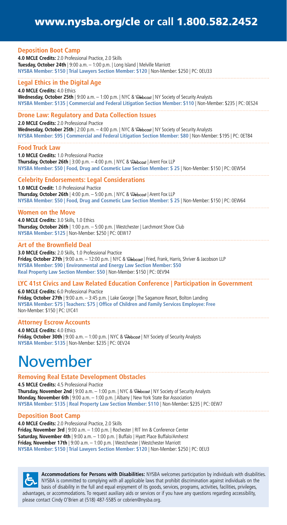### www.nysba.org/cle **or call** 1.800.582.2452

| <b>Deposition Boot Camp</b><br>4.0 MCLE Credits: 2.0 Professional Practice, 2.0 Skills<br><b>Tuesday, October 24th</b>   9:00 a.m. $-$ 1:00 p.m.   Long Island   Melville Marriott<br>NYSBA Member: \$150   Trial Lawyers Section Member: \$120   Non-Member: \$250   PC: 0EU33                                                                                                       |
|---------------------------------------------------------------------------------------------------------------------------------------------------------------------------------------------------------------------------------------------------------------------------------------------------------------------------------------------------------------------------------------|
| <b>Legal Ethics in the Digital Age</b><br>4.0 MCLE Credits: 4.0 Ethics<br><b>Wednesday, October 25th</b>   9:00 a.m. $-$ 1:00 p.m.   NYC & $\Re$ bcast   NY Society of Security Analysts<br>NYSBA Member: \$135   Commercial and Federal Litigation Section Member: \$110   Non-Member: \$235   PC: 0ES24                                                                             |
| <b>Drone Law: Regulatory and Data Collection Issues</b><br>2.0 MCLE Credits: 2.0 Professional Practice<br><b>Wednesday, October 25th</b>   2:00 p.m. - 4:00 p.m.   NYC & <i>Rebcast</i>   NY Society of Security Analysts<br>NYSBA Member: \$95   Commercial and Federal Litigation Section Member: \$80   Non-Member: \$195   PC: 0ET84                                              |
| <b>Food Truck Law</b><br>1.0 MCLE Credits: 1.0 Professional Practice<br><b>Thursday, October 26th</b>   3:00 p.m. $-$ 4:00 p.m.   NYC & $\sqrt{2}$ bcast   Arent Fox LLP<br>NYSBA Member: \$50   Food, Drug and Cosmetic Law Section Member: \$25   Non-Member: \$150   PC: 0EW54                                                                                                     |
| <b>Celebrity Endorsements: Legal Considerations</b><br>1.0 MCLE Credit: 1.0 Professional Practice<br><b>Thursday, October 26th</b>   4:00 p.m. $-$ 5:00 p.m.   NYC & $\hat{\infty}$ ebcast   Arent Fox LLP<br>NYSBA Member: \$50   Food, Drug and Cosmetic Law Section Member: \$25   Non-Member: \$150   PC: 0EW64                                                                   |
| <b>Women on the Move</b><br>4.0 MCLE Credits: 3.0 Skills, 1.0 Ethics<br><b>Thursday, October 26th</b>   1:00 p.m. - 5:00 p.m.   Westchester   Larchmont Shore Club<br>NYSBA Member: \$125   Non-Member: \$250   PC: 0EW17                                                                                                                                                             |
| <b>Art of the Brownfield Deal</b><br>3.0 MCLE Credits: 2.0 Skills, 1.0 Professional Practice<br>Friday, October 27th   9:00 a.m. - 12:00 p.m.   NYC & <i>Rebcast</i>   Fried, Frank, Harris, Shriver & Jacobson LLP<br>NYSBA Member: \$90   Environmental and Energy Law Section Member: \$50<br>Real Property Law Section Member: \$50   Non-Member: \$150   PC: 0EV94               |
| LYC 41st Civics and Law Related Education Conference   Participation in Government<br><b>6.0 MCLE Credits:</b> 6.0 Professional Practice<br><b>Friday, October 27th</b>   9:00 a.m. $-$ 3:45 p.m.   Lake George   The Sagamore Resort, Bolton Landing<br>NYSBA Member: \$75   Teachers: \$75   Office of Children and Family Services Employee: Free<br>Non-Member: \$150   PC: LYC41 |
| <b>Attorney Escrow Accounts</b><br>4.0 MCLE Credits: 4.0 Ethics<br><b>Friday, October 30th</b>   9:00 a.m. $-$ 1:00 p.m.   NYC & $\Re$ becast   NY Society of Security Analysts<br>NYSBA Member: \$135   Non-Member: \$235   PC: 0EV24                                                                                                                                                |
| Novembor                                                                                                                                                                                                                                                                                                                                                                              |

## November

#### **Removing Real Estate Development Obstacles**

**4.5 MCLE Credits:** 4.5 Professional Practice Thursday, November 2nd | 9:00 a.m. - 1:00 p.m. | NYC & \ Obcast | NY Society of Security Analysts **Monday, November 6th** | 9:00 a.m. – 1:00 p.m. | Albany | New York State Bar Association **NYSBA Member: \$135 | Real Property Law Section Member: \$110** | Non-Member: \$235 | PC: 0EW7

#### **Deposition Boot Camp**

**4.0 MCLE Credits:** 2.0 Professional Practice, 2.0 Skills **Friday, November 3rd** | 9:00 a.m. – 1:00 p.m. | Rochester | RIT Inn & Conference Center **Saturday, November 4th** | 9:00 a.m. – 1:00 p.m. | Buffalo | Hyatt Place Buffalo/Amherst **Friday, November 17th** | 9:00 a.m. - 1:00 p.m. | Westchester | Westchester Marriott **NYSBA Member: \$150 | Trial Lawyers Section Member: \$120** | Non-Member: \$250 | PC: 0EU3



**Accommodations for Persons with Disabilities:** NYSBA welcomes participation by individuals with disabilities. NYSBA is committed to complying with all applicable laws that prohibit discrimination against individuals on the basis of disability in the full and equal enjoyment of its goods, services, programs, activities, facilities, privileges, advantages, or accommodations. To request auxiliary aids or services or if you have any questions regarding accessibility, please contact Cindy O'Brien at (518) 487-5585 or [cobrien@nysba.org](mailto:cobrien@nysba.org).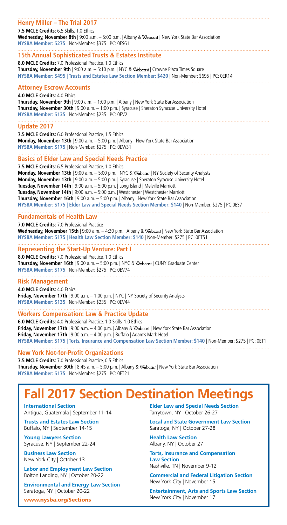| Henry Miller - The Trial 2017                                                                                                                                                                               |
|-------------------------------------------------------------------------------------------------------------------------------------------------------------------------------------------------------------|
| 7.5 MCLE Credits: 6.5 Skills, 1.0 Ethics                                                                                                                                                                    |
| Wednesday, November 8th   9:00 a.m. - 5:00 p.m.   Albany & \&ebcast   New York State Bar Association<br>NYSBA Member: \$275   Non-Member: \$375   PC: 0ES61                                                 |
| 15th Annual Sophisticated Trusts & Estates Institute                                                                                                                                                        |
| 8.0 MCLE Credits: 7.0 Professional Practice, 1.0 Ethics                                                                                                                                                     |
| <b>Thursday, November 9th</b>   9:00 a.m. - 5:10 p.m.   NYC & $\&$ ebcast   Crowne Plaza Times Square<br>NYSBA Member: \$495   Trusts and Estates Law Section Member: \$420   Non-Member: \$695   PC: 0ER14 |
| <b>Attorney Escrow Accounts</b>                                                                                                                                                                             |
| 4.0 MCLE Credits: 4.0 Ethics                                                                                                                                                                                |
| <b>Thursday, November 9th</b>   9:00 a.m. $-$ 1:00 p.m.   Albany   New York State Bar Association<br>Thursday, November 30th   9:00 a.m. - 1:00 p.m.   Syracuse   Sheraton Syracuse University Hotel        |
| NYSBA Member: \$135   Non-Member: \$235   PC: 0EV2                                                                                                                                                          |
| <b>Update 2017</b>                                                                                                                                                                                          |
| 7.5 MCLE Credits: 6.0 Professional Practice, 1.5 Ethics                                                                                                                                                     |
| <b>Monday, November 13th</b>   9:00 a.m. $-$ 5:00 p.m.   Albany   New York State Bar Association<br>NYSBA Member: \$175   Non-Member: \$275   PC: 0EW31                                                     |
| <b>Basics of Elder Law and Special Needs Practice</b>                                                                                                                                                       |
| 7.5 MCLE Credits: 6.5 Professional Practice, 1.0 Ethics                                                                                                                                                     |
| Monday, November 13th   9:00 a.m. - 5:00 p.m.   NYC & $\&$ ebcast   NY Society of Security Analysts<br>Monday, November 13th   9:00 a.m. - 5:00 p.m.   Syracuse   Sheraton Syracuse University Hotel        |
| Tuesday, November 14th   9:00 a.m. - 5:00 p.m.   Long Island   Melville Marriott                                                                                                                            |
| Tuesday, November 14th   9:00 a.m. - 5:00 p.m.   Westchester   Westchester Marriott                                                                                                                         |
| Thursday, November 16th   9:00 a.m. - 5:00 p.m.   Albany   New York State Bar Association<br>NYSBA Member: \$175   Elder Law and Special Needs Section Member: \$140   Non-Member: \$275   PC:0ES7          |
| <b>Fundamentals of Health Law</b>                                                                                                                                                                           |
| 7.0 MCLE Credits: 7.0 Professional Practice                                                                                                                                                                 |
| Wednesday, November 15th   9:00 a.m. - 4:30 p.m.   Albany & @ebcast   New York State Bar Association                                                                                                        |
| NYSBA Member: \$175   Health Law Section Member: \$140   Non-Member: \$275   PC: 0ET51                                                                                                                      |
| <b>Representing the Start-Up Venture: Part I</b>                                                                                                                                                            |
| 8.0 MCLE Credits: 7.0 Professional Practice, 1.0 Ethics                                                                                                                                                     |
| Thursday, November 16th   9:00 a.m. - 5:00 p.m.   NYC & $\sqrt{2}$ ebcast   CUNY Graduate Center<br>NYSBA Member: \$175   Non-Member: \$275   PC: 0EV74                                                     |
| <b>Risk Management</b>                                                                                                                                                                                      |
| 4.0 MCLE Credits: 4.0 Ethics                                                                                                                                                                                |
| Friday, November 17th   9:00 a.m. $-$ 1:00 p.m.   NYC   NY Society of Security Analysts                                                                                                                     |
| NYSBA Member: \$135   Non-Member: \$235   PC: 0EV44                                                                                                                                                         |
| <b>Workers Compensation: Law &amp; Practice Update</b>                                                                                                                                                      |
| 6.0 MCLE Credits: 4.0 Professional Practice, 1.0 Skills, 1.0 Ethics<br>Friday, November 17th   9:00 a.m. $-$ 4:00 p.m.   Albany & $\sqrt{2}$ ebcast   New York State Bar Association                        |
| Friday, November 17th   9:00 a.m. $-$ 4:00 p.m.   Buffalo   Adam's Mark Hotel                                                                                                                               |
| NYSBA Member: \$175   Torts, Insurance and Compensation Law Section Member: \$140   Non-Member: \$275   PC: 0ET1                                                                                            |
| <b>New York Not-for-Profit Organizations</b>                                                                                                                                                                |
| 7.5 MCLE Credits: 7.0 Professional Practice, 0.5 Ethics                                                                                                                                                     |

**Thursday, November 30th** | 8:45 a.m. – 5:00 p.m. | Albany & *Sebcast* | New York State Bar Association **NYSBA Member: \$175** | Non-Member: \$275 | PC: 0ET21

## **2017 Section Destination Meetings**

**International Section** Antigua, Guatemala | September 11-14

**Trusts and Estates Law Section** Buffalo, NY | September 14-15

**Young Lawyers Section** Syracuse, NY | September 22-24

**Business Law Section** New York City | October 13

**Labor and Employment Law Section** Bolton Landing, NY | October 20-22

**Environmental and Energy Law Section** Saratoga, NY | October 20-22

www.nysba.org/Sections

**Elder Law and Special Needs Section**  Tarrytown, NY | October 26-27

**Local and State Government Law Section** Saratoga, NY | October 27-28

**Health Law Section** Albany, NY | October 27

**Torts, Insurance and Compensation Law Section** Nashville, TN | November 9-12

**Commercial and Federal Litigation Section** New York City | November 15

**Entertainment, Arts and Sports Law Section** New York City | November 17